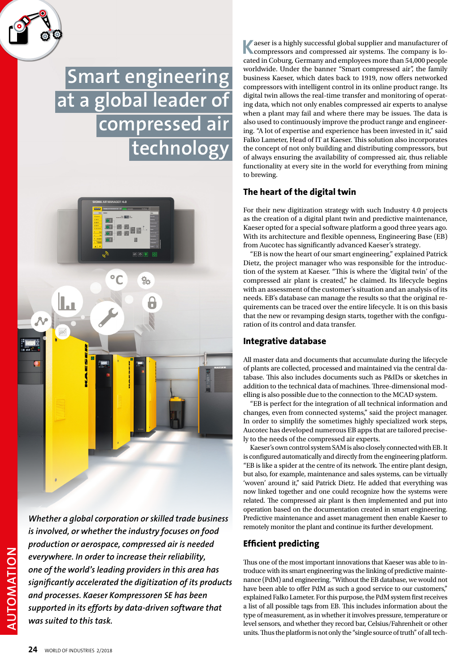# **Smart engineering at a global leader of compressed air technology**



*Whether a global corporation or skilled trade business is involved, or whether the industry focuses on food production or aerospace, compressed air is needed everywhere. In order to increase their reliability, one of the world's leading providers in this area has significantly accelerated the digitization of its products and processes. Kaeser Kompressoren SE has been supported in its efforts by data-driven software that was suited to this task.*

**K**aeser is a highly successful global supplier and manufacturer of compressors and compressed air systems. The company is located in Coburg, Germany and employees more than 54,000 people worldwide. Under the banner "Smart compressed air", the family business Kaeser, which dates back to 1919, now offers networked compressors with intelligent control in its online product range. Its digital twin allows the real-time transfer and monitoring of operating data, which not only enables compressed air experts to analyse when a plant may fail and where there may be issues. The data is also used to continuously improve the product range and engineering. "A lot of expertise and experience has been invested in it," said Falko Lameter, Head of IT at Kaeser. This solution also incorporates the concept of not only building and distributing compressors, but of always ensuring the availability of compressed air, thus reliable functionality at every site in the world for everything from mining to brewing.

## **The heart of the digital twin**

For their new digitization strategy with such Industry 4.0 projects as the creation of a digital plant twin and predictive maintenance, Kaeser opted for a special software platform a good three years ago. With its architecture and flexible openness, Engineering Base (EB) from Aucotec has significantly advanced Kaeser's strategy.

"EB is now the heart of our smart engineering," explained Patrick Dietz, the project manager who was responsible for the introduction of the system at Kaeser. "This is where the 'digital twin' of the compressed air plant is created," he claimed. Its lifecycle begins with an assessment of the customer's situation and an analysis of its needs. EB's database can manage the results so that the original requirements can be traced over the entire lifecycle. It is on this basis that the new or revamping design starts, together with the configuration of its control and data transfer.

## **Integrative database**

All master data and documents that accumulate during the lifecycle of plants are collected, processed and maintained via the central database. This also includes documents such as P&IDs or sketches in addition to the technical data of machines. Three-dimensional modelling is also possible due to the connection to the MCAD system.

"EB is perfect for the integration of all technical information and changes, even from connected systems," said the project manager. In order to simplify the sometimes highly specialized work steps, Aucotec has developed numerous EB apps that are tailored precisely to the needs of the compressed air experts.

Kaeser's own control system SAM is also closely connected with EB. It is configured automatically and directly from the engineering platform. "EB is like a spider at the centre of its network. The entire plant design, but also, for example, maintenance and sales systems, can be virtually 'woven' around it," said Patrick Dietz. He added that everything was now linked together and one could recognize how the systems were related. The compressed air plant is then implemented and put into operation based on the documentation created in smart engineering. Predictive maintenance and asset management then enable Kaeser to remotely monitor the plant and continue its further development.

# **Efficient predicting**

Thus one of the most important innovations that Kaeser was able to introduce with its smart engineering was the linking of predictive maintenance (PdM) and engineering. "Without the EB database, we would not have been able to offer PdM as such a good service to our customers," explained Falko Lameter. For this purpose, the PdM system first receives a list of all possible tags from EB. This includes information about the type of measurement, as in whether it involves pressure, temperature or level sensors, and whether they record bar, Celsius/Fahrenheit or other units. Thus the platform is not only the "single source of truth" of all tech